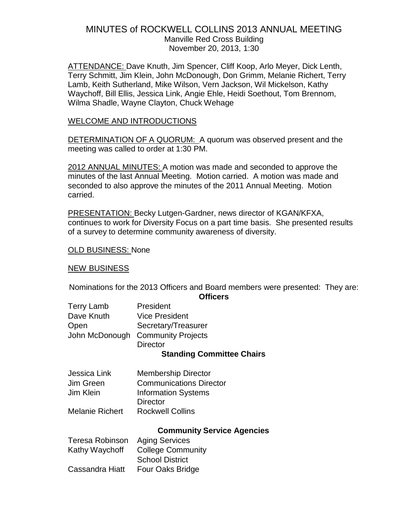# MINUTES of ROCKWELL COLLINS 2013 ANNUAL MEETING Manville Red Cross Building November 20, 2013, 1:30

ATTENDANCE: Dave Knuth, Jim Spencer, Cliff Koop, Arlo Meyer, Dick Lenth, Terry Schmitt, Jim Klein, John McDonough, Don Grimm, Melanie Richert, Terry Lamb, Keith Sutherland, Mike Wilson, Vern Jackson, Wil Mickelson, Kathy Waychoff, Bill Ellis, Jessica Link, Angie Ehle, Heidi Soethout, Tom Brennom, Wilma Shadle, Wayne Clayton, Chuck Wehage

### WELCOME AND INTRODUCTIONS

DETERMINATION OF A QUORUM: A quorum was observed present and the meeting was called to order at 1:30 PM.

2012 ANNUAL MINUTES: A motion was made and seconded to approve the minutes of the last Annual Meeting. Motion carried. A motion was made and seconded to also approve the minutes of the 2011 Annual Meeting. Motion carried.

PRESENTATION: Becky Lutgen-Gardner, news director of KGAN/KFXA, continues to work for Diversity Focus on a part time basis. She presented results of a survey to determine community awareness of diversity.

### OLD BUSINESS: None

### NEW BUSINESS

Nominations for the 2013 Officers and Board members were presented: They are: **Officers**

| <b>Terry Lamb</b> | President                         |  |
|-------------------|-----------------------------------|--|
| Dave Knuth        | <b>Vice President</b>             |  |
| Open              | Secretary/Treasurer               |  |
|                   | John McDonough Community Projects |  |
|                   | <b>Director</b>                   |  |
|                   |                                   |  |

#### **Standing Committee Chairs**

| Jessica Link           | <b>Membership Director</b>     |
|------------------------|--------------------------------|
| Jim Green              | <b>Communications Director</b> |
| Jim Klein              | <b>Information Systems</b>     |
|                        | <b>Director</b>                |
| <b>Melanie Richert</b> | <b>Rockwell Collins</b>        |

#### **Community Service Agencies**

| Teresa Robinson | <b>Aging Services</b>    |
|-----------------|--------------------------|
| Kathy Waychoff  | <b>College Community</b> |
|                 | <b>School District</b>   |
| Cassandra Hiatt | Four Oaks Bridge         |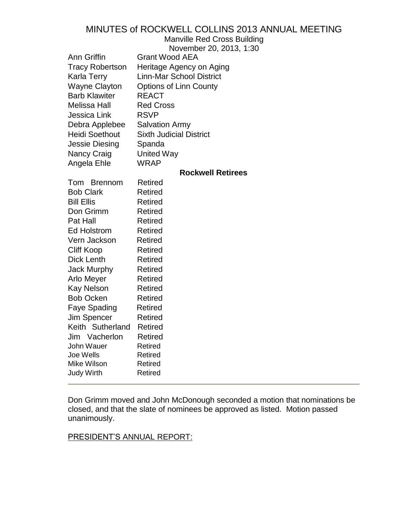Manville Red Cross Building

November 20, 2013, 1:30

| Ann Griffin<br><b>Tracy Robertson</b><br>Karla Terry<br>Wayne Clayton<br><b>Barb Klawiter</b><br>Melissa Hall<br>Jessica Link<br>Debra Applebee<br><b>Heidi Soethout</b><br>Jessie Diesing<br>Nancy Craig<br>Angela Ehle                                                                                                            | <b>Grant Wood AEA</b><br>Heritage Agency on Aging<br><b>Linn-Mar School District</b><br><b>Options of Linn County</b><br><b>REACT</b><br><b>Red Cross</b><br><b>RSVP</b><br><b>Salvation Army</b><br><b>Sixth Judicial District</b><br>Spanda<br><b>United Way</b><br><b>WRAP</b>                     |
|-------------------------------------------------------------------------------------------------------------------------------------------------------------------------------------------------------------------------------------------------------------------------------------------------------------------------------------|-------------------------------------------------------------------------------------------------------------------------------------------------------------------------------------------------------------------------------------------------------------------------------------------------------|
|                                                                                                                                                                                                                                                                                                                                     | <b>Rockwell Retirees</b>                                                                                                                                                                                                                                                                              |
| Tom Brennom<br><b>Bob Clark</b><br><b>Bill Ellis</b><br>Don Grimm<br>Pat Hall<br><b>Ed Holstrom</b><br>Vern Jackson<br>Cliff Koop<br>Dick Lenth<br><b>Jack Murphy</b><br>Arlo Meyer<br>Kay Nelson<br><b>Bob Ocken</b><br>Faye Spading<br>Jim Spencer<br>Keith Sutherland<br>Jim Vacherlon<br>John Wauer<br>Joe Wells<br>Mike Wilson | <b>Retired</b><br><b>Retired</b><br>Retired<br>Retired<br>Retired<br>Retired<br><b>Retired</b><br><b>Retired</b><br>Retired<br><b>Retired</b><br><b>Retired</b><br>Retired<br><b>Retired</b><br><b>Retired</b><br><b>Retired</b><br><b>Retired</b><br><b>Retired</b><br>Retired<br>Retired<br>Retired |
| Judy Wirth                                                                                                                                                                                                                                                                                                                          | Retired                                                                                                                                                                                                                                                                                               |
|                                                                                                                                                                                                                                                                                                                                     |                                                                                                                                                                                                                                                                                                       |

Don Grimm moved and John McDonough seconded a motion that nominations be closed, and that the slate of nominees be approved as listed. Motion passed unanimously.

# PRESIDENT'S ANNUAL REPORT: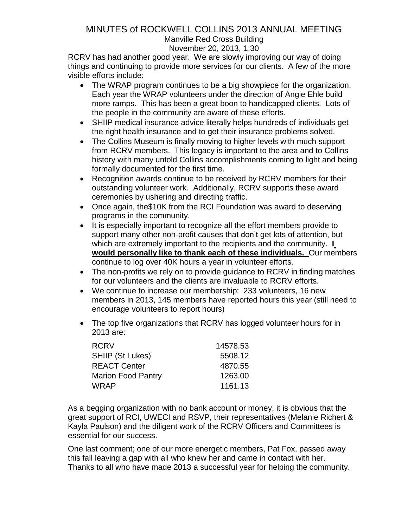# Manville Red Cross Building

### November 20, 2013, 1:30

RCRV has had another good year. We are slowly improving our way of doing things and continuing to provide more services for our clients. A few of the more visible efforts include:

- The WRAP program continues to be a big showpiece for the organization. Each year the WRAP volunteers under the direction of Angie Ehle build more ramps. This has been a great boon to handicapped clients. Lots of the people in the community are aware of these efforts.
- SHIIP medical insurance advice literally helps hundreds of individuals get the right health insurance and to get their insurance problems solved.
- The Collins Museum is finally moving to higher levels with much support from RCRV members. This legacy is important to the area and to Collins history with many untold Collins accomplishments coming to light and being formally documented for the first time.
- Recognition awards continue to be received by RCRV members for their outstanding volunteer work. Additionally, RCRV supports these award ceremonies by ushering and directing traffic.
- Once again, the\$10K from the RCI Foundation was award to deserving programs in the community.
- It is especially important to recognize all the effort members provide to support many other non-profit causes that don't get lots of attention, but which are extremely important to the recipients and the community. **I would personally like to thank each of these individuals.** Our members continue to log over 40K hours a year in volunteer efforts.
- The non-profits we rely on to provide quidance to RCRV in finding matches for our volunteers and the clients are invaluable to RCRV efforts.
- We continue to increase our membership: 233 volunteers, 16 new members in 2013, 145 members have reported hours this year (still need to encourage volunteers to report hours)
- The top five organizations that RCRV has logged volunteer hours for in 2013 are:

| <b>RCRV</b>               | 14578.53 |
|---------------------------|----------|
| <b>SHIIP (St Lukes)</b>   | 5508.12  |
| <b>REACT Center</b>       | 4870.55  |
| <b>Marion Food Pantry</b> | 1263.00  |
| <b>WRAP</b>               | 1161.13  |

As a begging organization with no bank account or money, it is obvious that the great support of RCI, UWECI and RSVP, their representatives (Melanie Richert & Kayla Paulson) and the diligent work of the RCRV Officers and Committees is essential for our success.

One last comment; one of our more energetic members, Pat Fox, passed away this fall leaving a gap with all who knew her and came in contact with her. Thanks to all who have made 2013 a successful year for helping the community.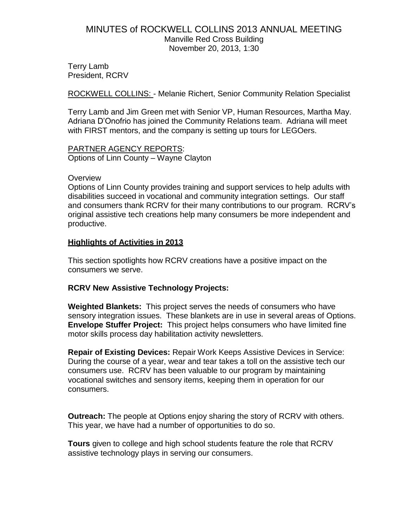# MINUTES of ROCKWELL COLLINS 2013 ANNUAL MEETING Manville Red Cross Building November 20, 2013, 1:30

Terry Lamb President, RCRV

ROCKWELL COLLINS: - Melanie Richert, Senior Community Relation Specialist

Terry Lamb and Jim Green met with Senior VP, Human Resources, Martha May. Adriana D'Onofrio has joined the Community Relations team. Adriana will meet with FIRST mentors, and the company is setting up tours for LEGOers.

#### PARTNER AGENCY REPORTS: Options of Linn County – Wayne Clayton

# **Overview**

Options of Linn County provides training and support services to help adults with disabilities succeed in vocational and community integration settings. Our staff and consumers thank RCRV for their many contributions to our program. RCRV's original assistive tech creations help many consumers be more independent and productive.

### **Highlights of Activities in 2013**

This section spotlights how RCRV creations have a positive impact on the consumers we serve.

### **RCRV New Assistive Technology Projects:**

**Weighted Blankets:** This project serves the needs of consumers who have sensory integration issues. These blankets are in use in several areas of Options. **Envelope Stuffer Project:** This project helps consumers who have limited fine motor skills process day habilitation activity newsletters.

**Repair of Existing Devices:** Repair Work Keeps Assistive Devices in Service: During the course of a year, wear and tear takes a toll on the assistive tech our consumers use. RCRV has been valuable to our program by maintaining vocational switches and sensory items, keeping them in operation for our consumers.

**Outreach:** The people at Options enjoy sharing the story of RCRV with others. This year, we have had a number of opportunities to do so.

**Tours** given to college and high school students feature the role that RCRV assistive technology plays in serving our consumers.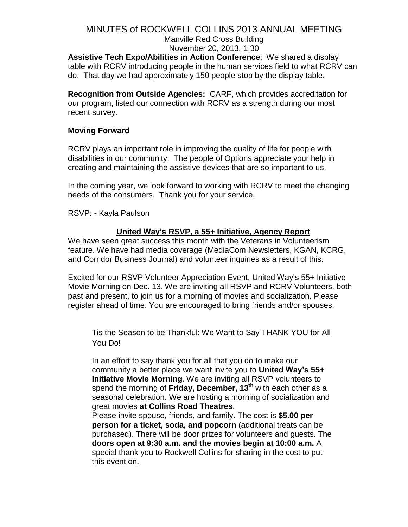Manville Red Cross Building November 20, 2013, 1:30

**Assistive Tech Expo/Abilities in Action Conference**: We shared a display table with RCRV introducing people in the human services field to what RCRV can do. That day we had approximately 150 people stop by the display table.

**Recognition from Outside Agencies:** CARF, which provides accreditation for our program, listed our connection with RCRV as a strength during our most recent survey.

## **Moving Forward**

RCRV plays an important role in improving the quality of life for people with disabilities in our community. The people of Options appreciate your help in creating and maintaining the assistive devices that are so important to us.

In the coming year, we look forward to working with RCRV to meet the changing needs of the consumers. Thank you for your service.

RSVP: - Kayla Paulson

# **United Way's RSVP, a 55+ Initiative, Agency Report**

We have seen great success this month with the Veterans in Volunteerism feature. We have had media coverage (MediaCom Newsletters, KGAN, KCRG, and Corridor Business Journal) and volunteer inquiries as a result of this.

Excited for our RSVP Volunteer Appreciation Event, United Way's 55+ Initiative Movie Morning on Dec. 13. We are inviting all RSVP and RCRV Volunteers, both past and present, to join us for a morning of movies and socialization. Please register ahead of time. You are encouraged to bring friends and/or spouses.

Tis the Season to be Thankful: We Want to Say THANK YOU for All You Do!

In an effort to say thank you for all that you do to make our community a better place we want invite you to **United Way's 55+ Initiative Movie Morning**. We are inviting all RSVP volunteers to spend the morning of **Friday, December, 13th** with each other as a seasonal celebration. We are hosting a morning of socialization and great movies **at Collins Road Theatres**.

Please invite spouse, friends, and family. The cost is **\$5.00 per person for a ticket, soda, and popcorn** (additional treats can be purchased). There will be door prizes for volunteers and guests. The **doors open at 9:30 a.m. and the movies begin at 10:00 a.m.** A special thank you to Rockwell Collins for sharing in the cost to put this event on.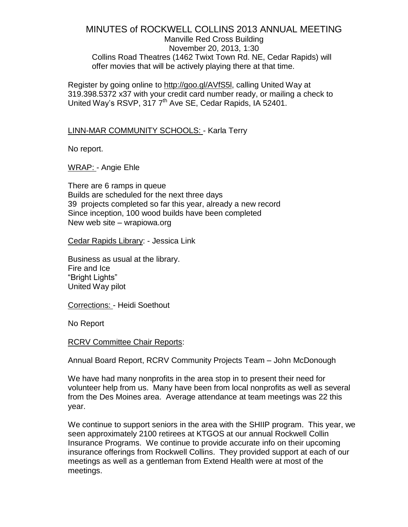Manville Red Cross Building November 20, 2013, 1:30 Collins Road Theatres (1462 Twixt Town Rd. NE, Cedar Rapids) will offer movies that will be actively playing there at that time.

Register by going online to [http://goo.gl/AVfS5l,](http://goo.gl/AVfS5l) calling United Way at 319.398.5372 x37 with your credit card number ready, or mailing a check to United Way's RSVP, 317 7<sup>th</sup> Ave SE, Cedar Rapids, IA 52401.

#### LINN-MAR COMMUNITY SCHOOLS: - Karla Terry

No report.

WRAP: - Angie Ehle

There are 6 ramps in queue Builds are scheduled for the next three days 39 projects completed so far this year, already a new record Since inception, 100 wood builds have been completed New web site – wrapiowa.org

Cedar Rapids Library: - Jessica Link

Business as usual at the library. Fire and Ice "Bright Lights" United Way pilot

Corrections: - Heidi Soethout

No Report

RCRV Committee Chair Reports:

Annual Board Report, RCRV Community Projects Team – John McDonough

We have had many nonprofits in the area stop in to present their need for volunteer help from us. Many have been from local nonprofits as well as several from the Des Moines area. Average attendance at team meetings was 22 this year.

We continue to support seniors in the area with the SHIIP program. This year, we seen approximately 2100 retirees at KTGOS at our annual Rockwell Collin Insurance Programs. We continue to provide accurate info on their upcoming insurance offerings from Rockwell Collins. They provided support at each of our meetings as well as a gentleman from Extend Health were at most of the meetings.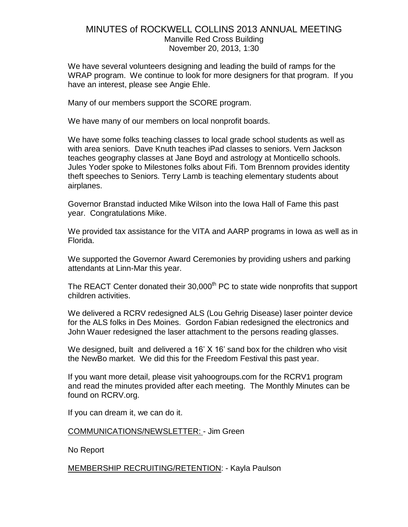# MINUTES of ROCKWELL COLLINS 2013 ANNUAL MEETING Manville Red Cross Building November 20, 2013, 1:30

We have several volunteers designing and leading the build of ramps for the WRAP program. We continue to look for more designers for that program. If you have an interest, please see Angie Ehle.

Many of our members support the SCORE program.

We have many of our members on local nonprofit boards.

We have some folks teaching classes to local grade school students as well as with area seniors. Dave Knuth teaches iPad classes to seniors. Vern Jackson teaches geography classes at Jane Boyd and astrology at Monticello schools. Jules Yoder spoke to Milestones folks about Fifi. Tom Brennom provides identity theft speeches to Seniors. Terry Lamb is teaching elementary students about airplanes.

Governor Branstad inducted Mike Wilson into the Iowa Hall of Fame this past year. Congratulations Mike.

We provided tax assistance for the VITA and AARP programs in Iowa as well as in Florida.

We supported the Governor Award Ceremonies by providing ushers and parking attendants at Linn-Mar this year.

The REACT Center donated their 30,000<sup>th</sup> PC to state wide nonprofits that support children activities.

We delivered a RCRV redesigned ALS (Lou Gehrig Disease) laser pointer device for the ALS folks in Des Moines. Gordon Fabian redesigned the electronics and John Wauer redesigned the laser attachment to the persons reading glasses.

We designed, built and delivered a 16' X 16' sand box for the children who visit the NewBo market. We did this for the Freedom Festival this past year.

If you want more detail, please visit yahoogroups.com for the RCRV1 program and read the minutes provided after each meeting. The Monthly Minutes can be found on RCRV.org.

If you can dream it, we can do it.

#### COMMUNICATIONS/NEWSLETTER: - Jim Green

No Report

MEMBERSHIP RECRUITING/RETENTION: - Kayla Paulson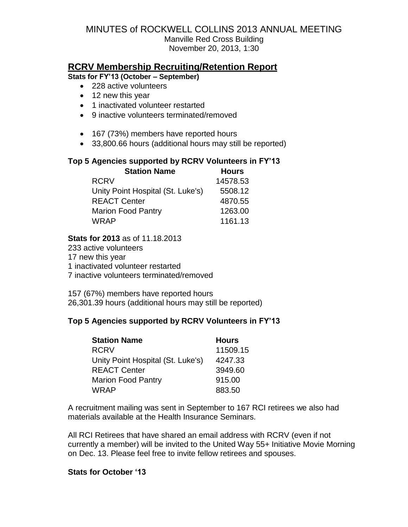# **RCRV Membership Recruiting/Retention Report**

**Stats for FY'13 (October – September)**

- 228 active volunteers
- 12 new this year
- 1 inactivated volunteer restarted
- 9 inactive volunteers terminated/removed
- 167 (73%) members have reported hours
- 33,800.66 hours (additional hours may still be reported)

### **Top 5 Agencies supported by RCRV Volunteers in FY'13**

| <b>Station Name</b>               | <b>Hours</b> |
|-----------------------------------|--------------|
| <b>RCRV</b>                       | 14578.53     |
| Unity Point Hospital (St. Luke's) | 5508.12      |
| <b>REACT Center</b>               | 4870.55      |
| <b>Marion Food Pantry</b>         | 1263.00      |
| <b>WRAP</b>                       | 1161.13      |

**Stats for 2013** as of 11.18.2013

 active volunteers new this year inactivated volunteer restarted inactive volunteers terminated/removed

157 (67%) members have reported hours 26,301.39 hours (additional hours may still be reported)

### **Top 5 Agencies supported by RCRV Volunteers in FY'13**

| <b>Station Name</b>               | <b>Hours</b> |
|-----------------------------------|--------------|
| <b>RCRV</b>                       | 11509.15     |
| Unity Point Hospital (St. Luke's) | 4247.33      |
| <b>REACT Center</b>               | 3949.60      |
| <b>Marion Food Pantry</b>         | 915.00       |
| <b>WRAP</b>                       | 883.50       |

A recruitment mailing was sent in September to 167 RCI retirees we also had materials available at the Health Insurance Seminars.

All RCI Retirees that have shared an email address with RCRV (even if not currently a member) will be invited to the United Way 55+ Initiative Movie Morning on Dec. 13. Please feel free to invite fellow retirees and spouses.

#### **Stats for October '13**